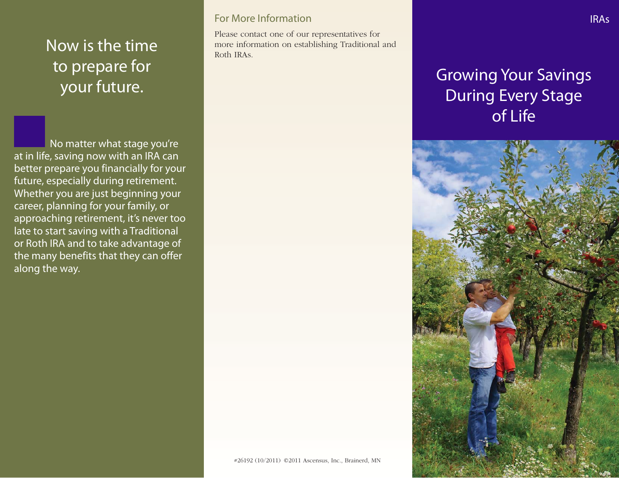## Now is the time to prepare for your future.

No matter what stage you're at in life, saving now with an IRA can better prepare you financially for your future, especially during retirement. Whether you are just beginning your career, planning for your family, or approaching retirement, it's never too late to start saving with a Traditional or Roth IRA and to take advantage of the many benefits that they can offer along the way.

#### For More Information

Please contact one of our representatives for more information on establishing Traditional and Roth IRAs.

# Growing Your Savings During Every Stage of Life